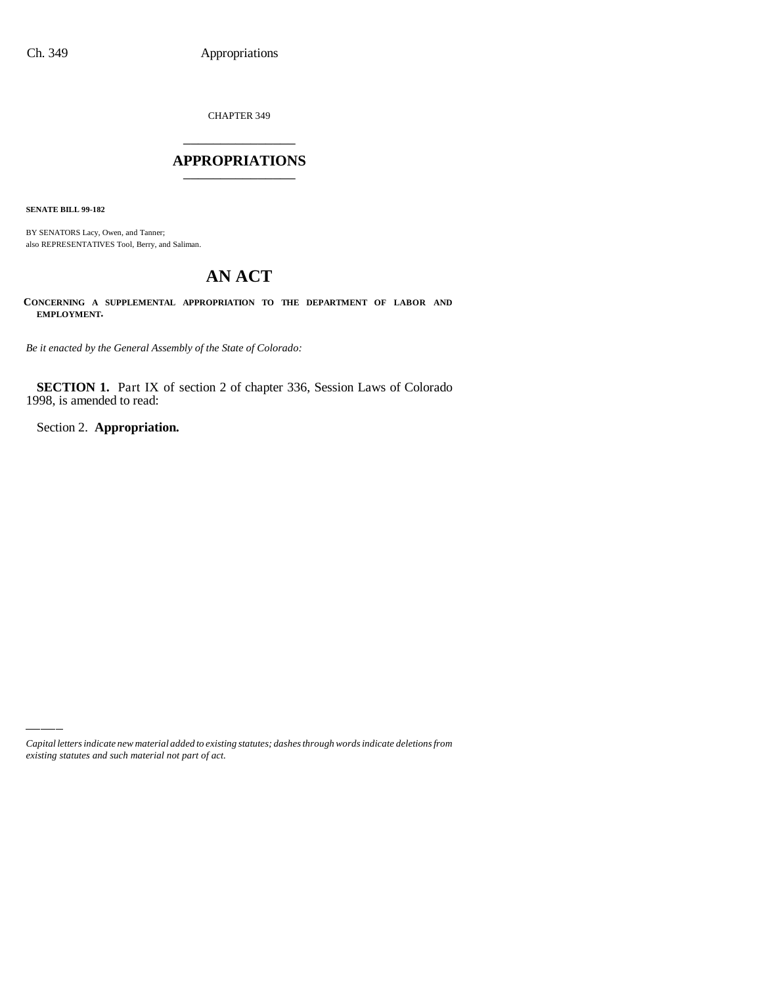CHAPTER 349 \_\_\_\_\_\_\_\_\_\_\_\_\_\_\_

## **APPROPRIATIONS** \_\_\_\_\_\_\_\_\_\_\_\_\_\_\_

**SENATE BILL 99-182**

BY SENATORS Lacy, Owen, and Tanner; also REPRESENTATIVES Tool, Berry, and Saliman.

# **AN ACT**

**CONCERNING A SUPPLEMENTAL APPROPRIATION TO THE DEPARTMENT OF LABOR AND EMPLOYMENT.**

*Be it enacted by the General Assembly of the State of Colorado:*

**SECTION 1.** Part IX of section 2 of chapter 336, Session Laws of Colorado 1998, is amended to read:

Section 2. **Appropriation.**

*Capital letters indicate new material added to existing statutes; dashes through words indicate deletions from existing statutes and such material not part of act.*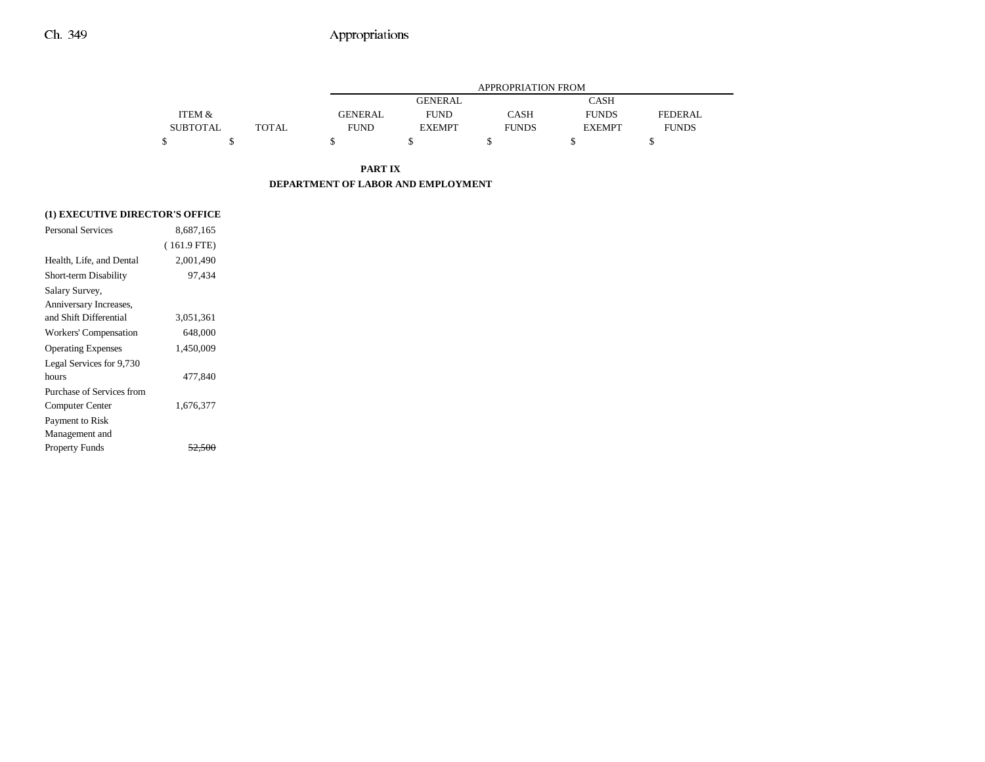|                 |       |             |                | APPROPRIATION FROM |               |                |
|-----------------|-------|-------------|----------------|--------------------|---------------|----------------|
|                 |       |             | <b>GENERAL</b> |                    | <b>CASH</b>   |                |
| ITEM &          |       | GENERAL     | <b>FUND</b>    | CASH               | <b>FUNDS</b>  | <b>FEDERAL</b> |
| <b>SUBTOTAL</b> | TOTAL | <b>FUND</b> | <b>EXEMPT</b>  | <b>FUNDS</b>       | <b>EXEMPT</b> | <b>FUNDS</b>   |
|                 |       |             |                |                    |               |                |

**PART IX DEPARTMENT OF LABOR AND EMPLOYMENT**

#### **(1) EXECUTIVE DIRECTOR'S OFFICE**

| <b>Personal Services</b>                 | 8.687.165     |  |
|------------------------------------------|---------------|--|
|                                          | $(161.9$ FTE) |  |
| Health, Life, and Dental                 | 2,001,490     |  |
| Short-term Disability                    | 97.434        |  |
| Salary Survey,<br>Anniversary Increases, |               |  |
| and Shift Differential                   | 3,051,361     |  |
| Workers' Compensation                    | 648,000       |  |
| <b>Operating Expenses</b>                | 1,450,009     |  |
| Legal Services for 9,730                 |               |  |
| hours                                    | 477,840       |  |
| Purchase of Services from                |               |  |
| Computer Center                          | 1,676,377     |  |
| Payment to Risk                          |               |  |
| Management and                           |               |  |
| <b>Property Funds</b>                    |               |  |
|                                          |               |  |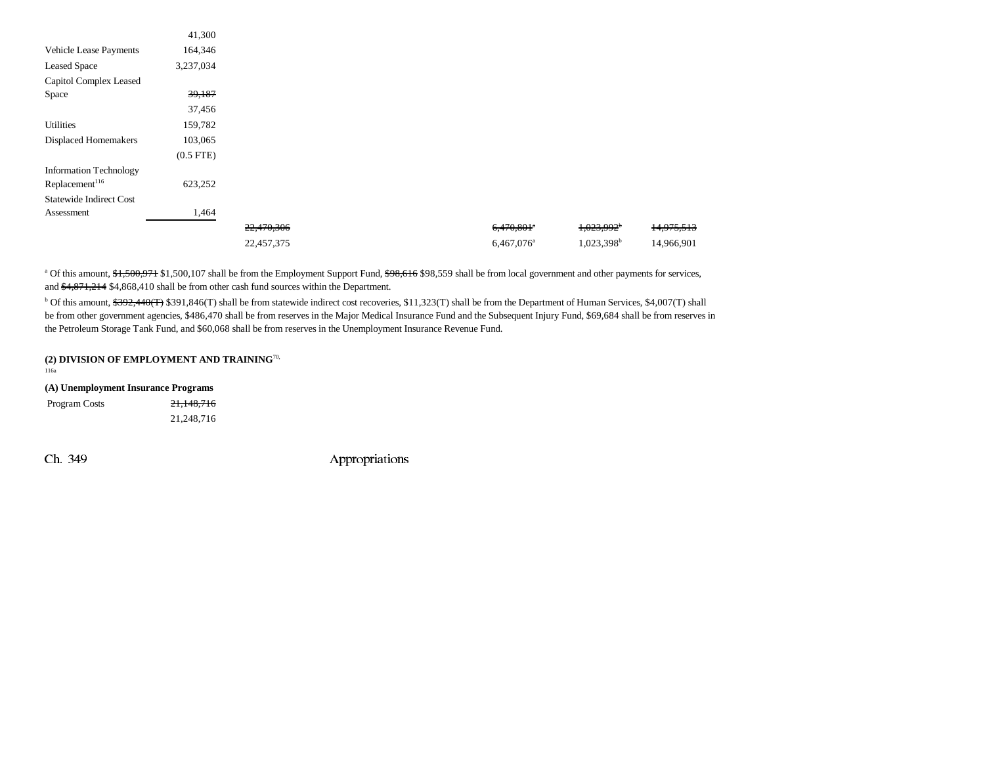|                                                             | 41,300         |            |  |                          |                        |            |
|-------------------------------------------------------------|----------------|------------|--|--------------------------|------------------------|------------|
| Vehicle Lease Payments                                      | 164,346        |            |  |                          |                        |            |
| <b>Leased Space</b>                                         | 3,237,034      |            |  |                          |                        |            |
| Capitol Complex Leased                                      |                |            |  |                          |                        |            |
| Space                                                       | 39,187         |            |  |                          |                        |            |
|                                                             | 37,456         |            |  |                          |                        |            |
| <b>Utilities</b>                                            | 159,782        |            |  |                          |                        |            |
| <b>Displaced Homemakers</b>                                 | 103,065        |            |  |                          |                        |            |
|                                                             | $(0.5$ FTE $)$ |            |  |                          |                        |            |
| <b>Information Technology</b><br>Replacement <sup>116</sup> | 623,252        |            |  |                          |                        |            |
| <b>Statewide Indirect Cost</b>                              |                |            |  |                          |                        |            |
| Assessment                                                  | 1,464          |            |  |                          |                        |            |
|                                                             |                | 22,470,306 |  | $6,470,801$ <sup>a</sup> | 1,023,992 <sup>b</sup> | 14,975,513 |
|                                                             |                | 22,457,375 |  | $6,467,076^{\rm a}$      | 1,023,398 <sup>b</sup> | 14,966,901 |

<sup>a</sup> Of this amount, \$1,500,971 \$1,500,107 shall be from the Employment Support Fund, \$98,616 \$98,559 shall be from local government and other payments for services, and \$4,871,214 \$4,868,410 shall be from other cash fund sources within the Department.

<sup>b</sup> Of this amount, \$392,440(T) \$391,846(T) shall be from statewide indirect cost recoveries, \$11,323(T) shall be from the Department of Human Services, \$4,007(T) shall be from other government agencies, \$486,470 shall be from reserves in the Major Medical Insurance Fund and the Subsequent Injury Fund, \$69,684 shall be from reserves in the Petroleum Storage Tank Fund, and \$60,068 shall be from reserves in the Unemployment Insurance Revenue Fund.

#### **(2) DIVISION OF EMPLOYMENT AND TRAINING**70,

116a

|--|

Program Costs 21,148,716 21,248,716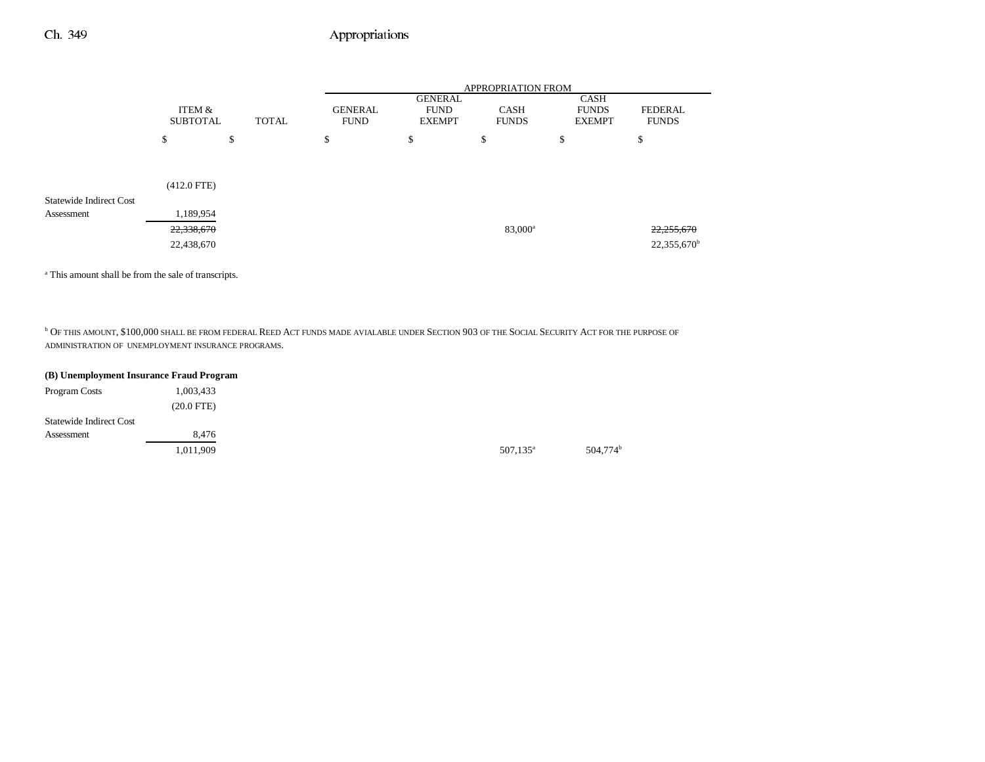|                                |                           |              |                               |                                                | <b>APPROPRIATION FROM</b>   |                                              |                                |
|--------------------------------|---------------------------|--------------|-------------------------------|------------------------------------------------|-----------------------------|----------------------------------------------|--------------------------------|
|                                | ITEM &<br><b>SUBTOTAL</b> | <b>TOTAL</b> | <b>GENERAL</b><br><b>FUND</b> | <b>GENERAL</b><br><b>FUND</b><br><b>EXEMPT</b> | <b>CASH</b><br><b>FUNDS</b> | <b>CASH</b><br><b>FUNDS</b><br><b>EXEMPT</b> | <b>FEDERAL</b><br><b>FUNDS</b> |
|                                | \$                        | \$           | \$                            | \$                                             | \$                          | \$                                           | \$                             |
|                                |                           |              |                               |                                                |                             |                                              |                                |
| <b>Statewide Indirect Cost</b> | $(412.0$ FTE)             |              |                               |                                                |                             |                                              |                                |
| Assessment                     | 1,189,954                 |              |                               |                                                |                             |                                              |                                |
|                                | 22,338,670                |              |                               |                                                | $83,000^{\rm a}$            |                                              | 22,255,670                     |
|                                | 22,438,670                |              |                               |                                                |                             |                                              | $22,355,670^{\circ}$           |

<sup>a</sup> This amount shall be from the sale of transcripts.

b OF THIS AMOUNT, \$100,000 SHALL BE FROM FEDERAL REED ACT FUNDS MADE AVIALABLE UNDER SECTION 903 OF THE SOCIAL SECURITY ACT FOR THE PURPOSE OF ADMINISTRATION OF UNEMPLOYMENT INSURANCE PROGRAMS.

|                                | (B) Unemployment Insurance Fraud Program |                      |
|--------------------------------|------------------------------------------|----------------------|
| Program Costs                  | 1,003,433                                |                      |
|                                | $(20.0$ FTE $)$                          |                      |
| <b>Statewide Indirect Cost</b> |                                          |                      |
| Assessment                     | 8.476                                    |                      |
|                                | 1,011,909                                | 507,135 <sup>a</sup> |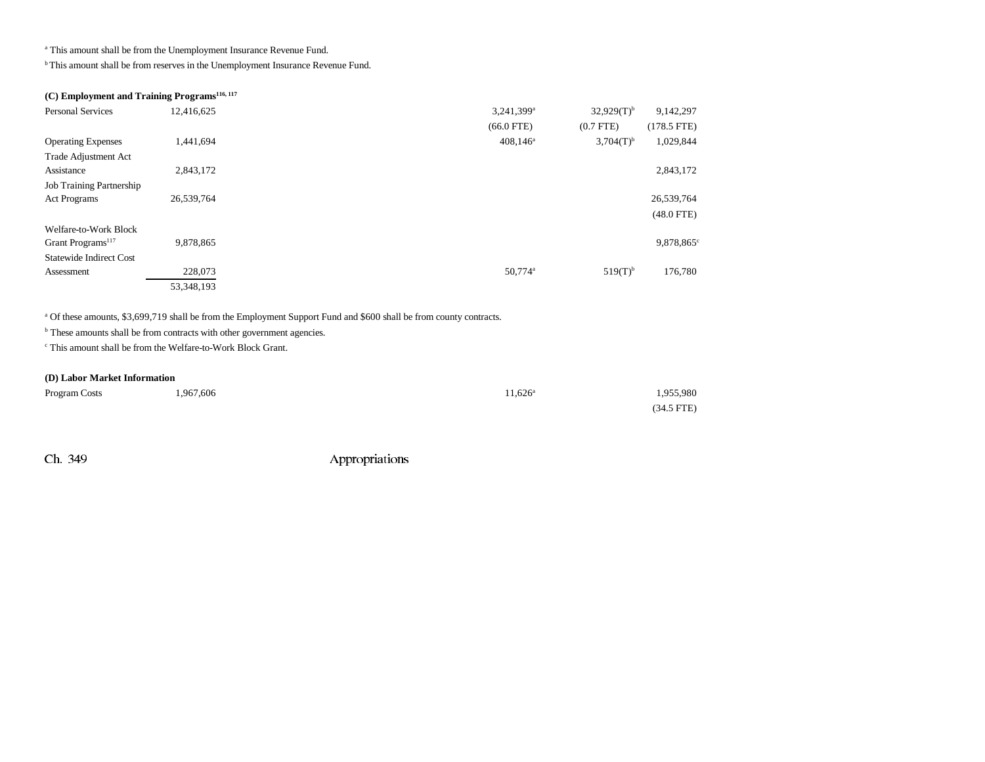a This amount shall be from the Unemployment Insurance Revenue Fund.

 $^{\rm b}$  This amount shall be from reserves in the Unemployment Insurance Revenue Fund.

| (C) Employment and Training Programs <sup>116, 117</sup> |            |                                              |                        |
|----------------------------------------------------------|------------|----------------------------------------------|------------------------|
| <b>Personal Services</b>                                 | 12,416,625 | 3,241,399 <sup>a</sup><br>$32,929(T)^{b}$    | 9,142,297              |
|                                                          |            | $(66.0$ FTE)<br>$(0.7$ FTE $)$               | $(178.5$ FTE)          |
| <b>Operating Expenses</b>                                | 1,441,694  | $3,704(T)$ <sup>b</sup><br>$408,146^{\circ}$ | 1,029,844              |
| Trade Adjustment Act                                     |            |                                              |                        |
| Assistance                                               | 2,843,172  |                                              | 2,843,172              |
| <b>Job Training Partnership</b>                          |            |                                              |                        |
| <b>Act Programs</b>                                      | 26,539,764 |                                              | 26,539,764             |
|                                                          |            |                                              | $(48.0$ FTE)           |
| Welfare-to-Work Block                                    |            |                                              |                        |
| Grant Programs <sup>117</sup>                            | 9,878,865  |                                              | 9,878,865 <sup>c</sup> |
| <b>Statewide Indirect Cost</b>                           |            |                                              |                        |
| Assessment                                               | 228,073    | $519(T)^{b}$<br>50,774 <sup>a</sup>          | 176,780                |
|                                                          | 53,348,193 |                                              |                        |

<sup>a</sup> Of these amounts, \$3,699,719 shall be from the Employment Support Fund and \$600 shall be from county contracts.

 $^{\rm b}$  These amounts shall be from contracts with other government agencies.

c This amount shall be from the Welfare-to-Work Block Grant.

#### **(D) Labor Market Information**

| Program Costs | 1,967,606 | $11,626^a$ | 1,955,980    |
|---------------|-----------|------------|--------------|
|               |           |            | $(34.5$ FTE) |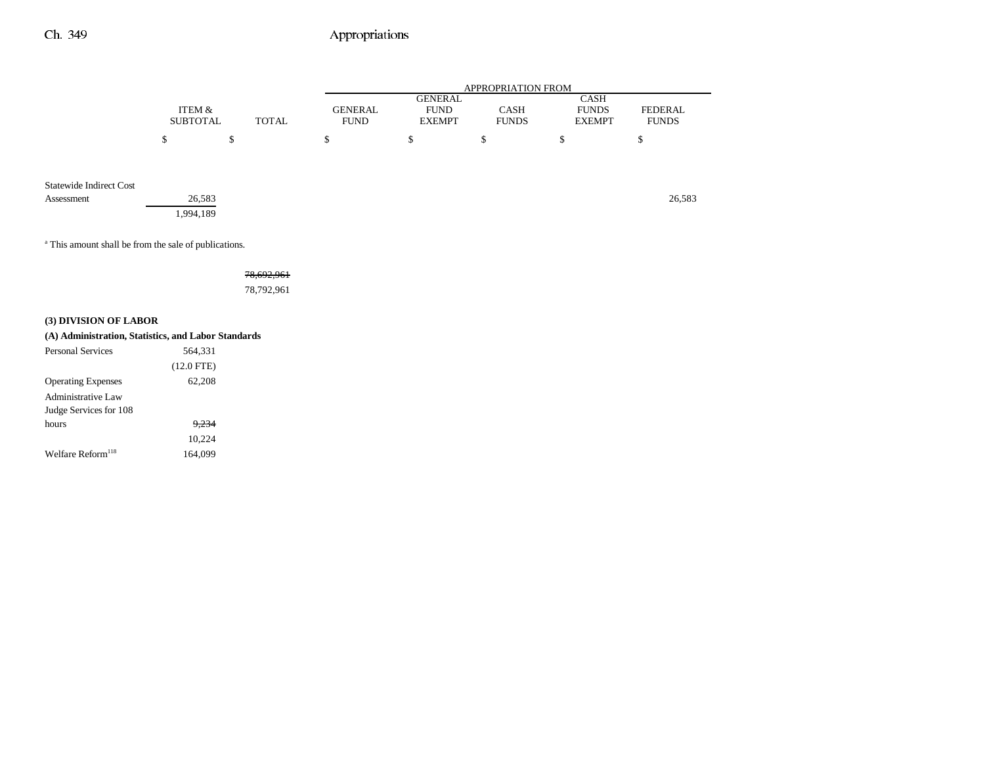|                                |                           |              |                               |                                                | <b>APPROPRIATION FROM</b>   |                                              |                                |
|--------------------------------|---------------------------|--------------|-------------------------------|------------------------------------------------|-----------------------------|----------------------------------------------|--------------------------------|
|                                | ITEM &<br><b>SUBTOTAL</b> | <b>TOTAL</b> | <b>GENERAL</b><br><b>FUND</b> | <b>GENERAL</b><br><b>FUND</b><br><b>EXEMPT</b> | <b>CASH</b><br><b>FUNDS</b> | <b>CASH</b><br><b>FUNDS</b><br><b>EXEMPT</b> | <b>FEDERAL</b><br><b>FUNDS</b> |
|                                | \$                        | $\mathbb{S}$ | \$                            | \$                                             | ¢<br>Φ                      | \$                                           | \$                             |
| <b>Statewide Indirect Cost</b> |                           |              |                               |                                                |                             |                                              |                                |
| Assessment                     | 26,583<br>1,994,189       |              |                               |                                                |                             |                                              | 26,583                         |

a This amount shall be from the sale of publications.

### 78,692,961

78,792,961

#### **(3) DIVISION OF LABOR**

|                               | (A) Administration, Statistics, and Labor Standards |
|-------------------------------|-----------------------------------------------------|
| <b>Personal Services</b>      | 564.331                                             |
|                               | $(12.0$ FTE)                                        |
| <b>Operating Expenses</b>     | 62.208                                              |
| Administrative Law            |                                                     |
| Judge Services for 108        |                                                     |
| hours                         | 9.234                                               |
|                               | 10.224                                              |
| Welfare Reform <sup>118</sup> | 164.099                                             |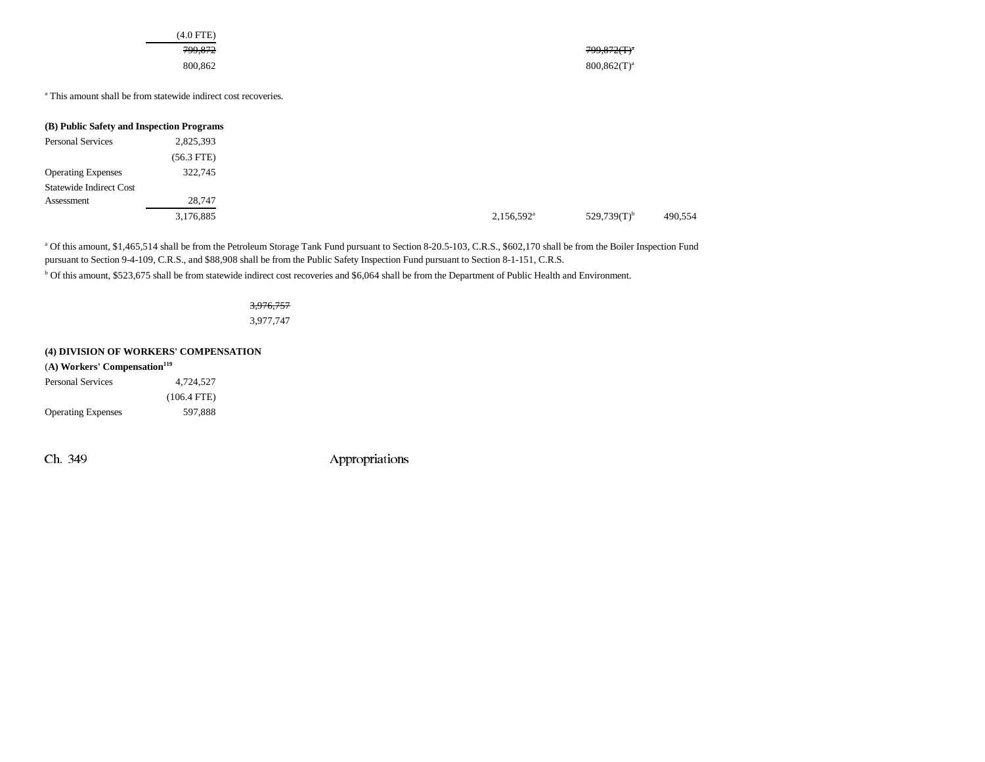| (4.0 FTE)          |                |
|--------------------|----------------|
| <del>799,872</del> | $799,872(T)^4$ |
| 800,862            | $800,862(T)^a$ |

<sup>a</sup> This amount shall be from statewide indirect cost recoveries.

| (B) Public Safety and Inspection Programs |              |
|-------------------------------------------|--------------|
| <b>Personal Services</b>                  | 2,825,393    |
|                                           | $(56.3$ FTE) |
| <b>Operating Expenses</b>                 | 322,745      |
| Statewide Indirect Cost                   |              |
| Assessment                                | 28,747       |
|                                           | 3,176,885    |

a Of this amount, \$1,465,514 shall be from the Petroleum Storage Tank Fund pursuant to Section 8-20.5-103, C.R.S., \$602,170 shall be from the Boiler Inspection Fund pursuant to Section 9-4-109, C.R.S., and \$88,908 shall be from the Public Safety Inspection Fund pursuant to Section 8-1-151, C.R.S.

b Of this amount, \$523,675 shall be from statewide indirect cost recoveries and \$6,064 shall be from the Department of Public Health and Environment.

3,976,757

3,977,747

#### **(4) DIVISION OF WORKERS' COMPENSATION**

## (A) Workers' Compensation<sup>119</sup>

| <b>Personal Services</b>  | 4.724.527     |  |
|---------------------------|---------------|--|
|                           | $(106.4$ FTE) |  |
| <b>Operating Expenses</b> | 597.888       |  |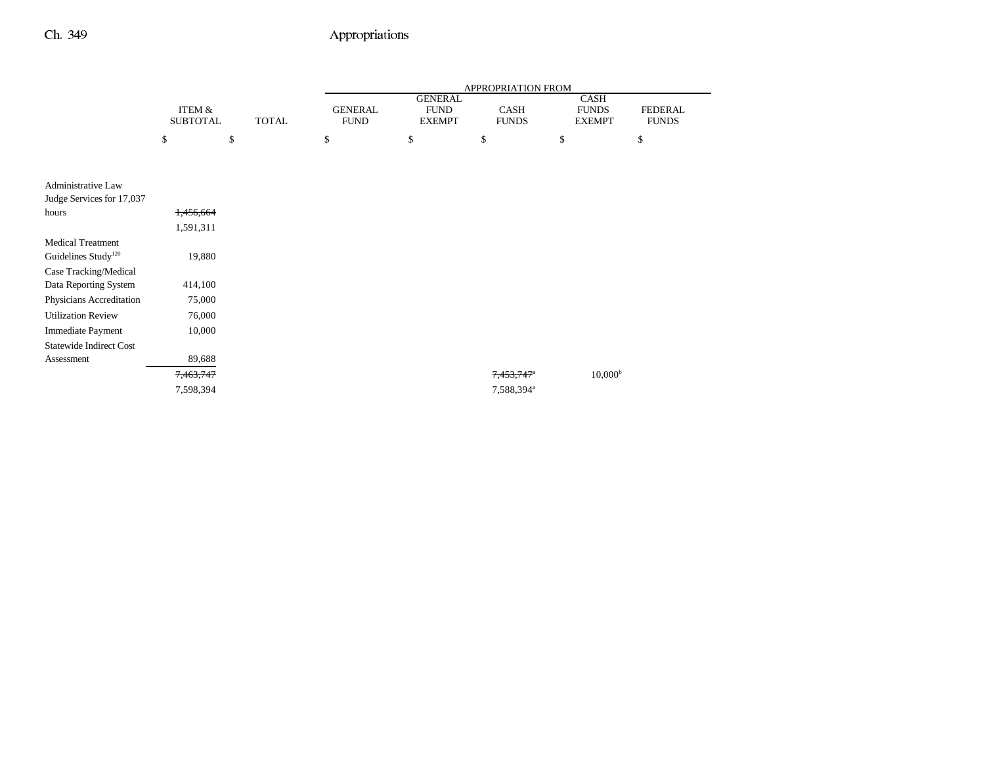|                                 |                           |              | APPROPRIATION FROM            |                              |                        |                               |                                |
|---------------------------------|---------------------------|--------------|-------------------------------|------------------------------|------------------------|-------------------------------|--------------------------------|
|                                 |                           |              |                               | <b>GENERAL</b>               |                        | CASH                          |                                |
|                                 | ITEM &<br><b>SUBTOTAL</b> | <b>TOTAL</b> | <b>GENERAL</b><br><b>FUND</b> | <b>FUND</b><br><b>EXEMPT</b> | CASH<br><b>FUNDS</b>   | <b>FUNDS</b><br><b>EXEMPT</b> | <b>FEDERAL</b><br><b>FUNDS</b> |
|                                 | \$                        | \$           | \$                            | \$                           | \$                     | \$                            | \$                             |
|                                 |                           |              |                               |                              |                        |                               |                                |
| Administrative Law              |                           |              |                               |                              |                        |                               |                                |
| Judge Services for 17,037       |                           |              |                               |                              |                        |                               |                                |
| hours                           | 1,456,664                 |              |                               |                              |                        |                               |                                |
|                                 | 1,591,311                 |              |                               |                              |                        |                               |                                |
| <b>Medical Treatment</b>        |                           |              |                               |                              |                        |                               |                                |
| Guidelines Study <sup>120</sup> | 19,880                    |              |                               |                              |                        |                               |                                |
| Case Tracking/Medical           |                           |              |                               |                              |                        |                               |                                |
| Data Reporting System           | 414,100                   |              |                               |                              |                        |                               |                                |
| Physicians Accreditation        | 75,000                    |              |                               |                              |                        |                               |                                |
| <b>Utilization Review</b>       | 76,000                    |              |                               |                              |                        |                               |                                |
| Immediate Payment               | 10,000                    |              |                               |                              |                        |                               |                                |
| Statewide Indirect Cost         |                           |              |                               |                              |                        |                               |                                |
| Assessment                      | 89,688                    |              |                               |                              |                        |                               |                                |
|                                 | 7,463,747                 |              |                               |                              | 7.453.747*             | 10,000 <sup>b</sup>           |                                |
|                                 | 7,598,394                 |              |                               |                              | 7,588,394 <sup>a</sup> |                               |                                |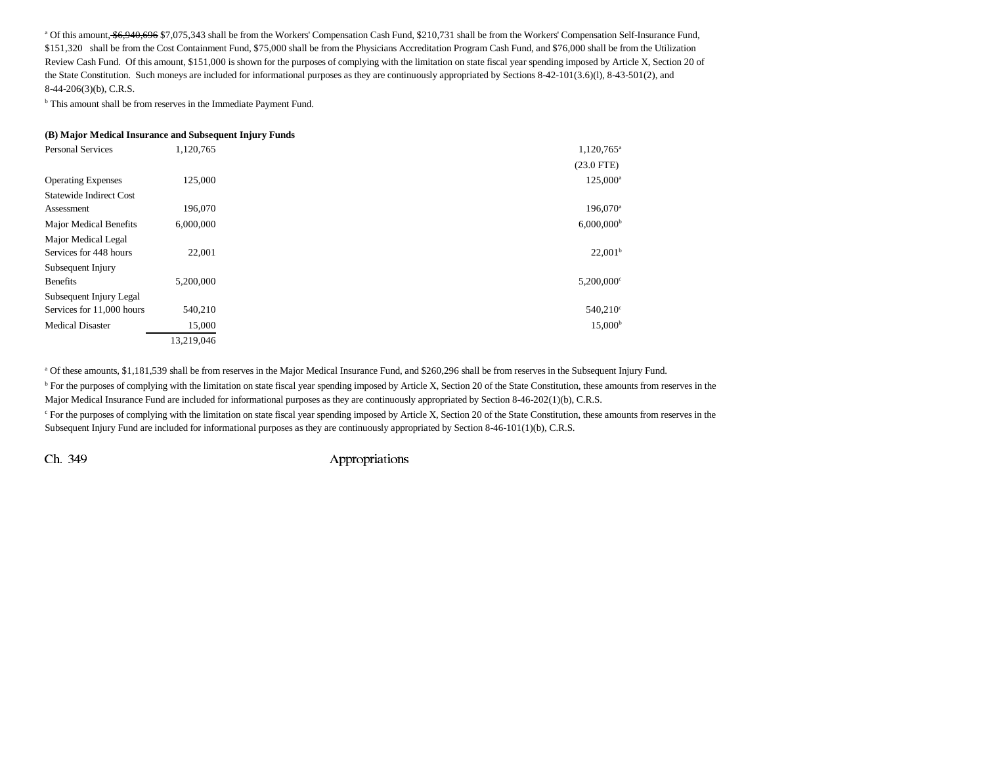<sup>a</sup> Of this amount, \$6,940,696 \$7,075,343 shall be from the Workers' Compensation Cash Fund, \$210,731 shall be from the Workers' Compensation Self-Insurance Fund, \$151,320 shall be from the Cost Containment Fund, \$75,000 shall be from the Physicians Accreditation Program Cash Fund, and \$76,000 shall be from the Utilization Review Cash Fund. Of this amount, \$151,000 is shown for the purposes of complying with the limitation on state fiscal year spending imposed by Article X, Section 20 of the State Constitution. Such moneys are included for informational purposes as they are continuously appropriated by Sections 8-42-101(3.6)(l), 8-43-501(2), and 8-44-206(3)(b), C.R.S.

<sup>b</sup> This amount shall be from reserves in the Immediate Payment Fund.

#### **(B) Major Medical Insurance and Subsequent Injury Funds**

| <b>Personal Services</b>       | 1,120,765  | 1,120,765 <sup>a</sup>   |
|--------------------------------|------------|--------------------------|
|                                |            | $(23.0$ FTE)             |
| <b>Operating Expenses</b>      | 125,000    | 125,000 <sup>a</sup>     |
| <b>Statewide Indirect Cost</b> |            |                          |
| Assessment                     | 196,070    | 196,070 <sup>a</sup>     |
| Major Medical Benefits         | 6,000,000  | $6,000,000$ <sup>b</sup> |
| Major Medical Legal            |            |                          |
| Services for 448 hours         | 22,001     | $22,001^{\rm b}$         |
| Subsequent Injury              |            |                          |
| <b>Benefits</b>                | 5,200,000  | $5,200,000$ <sup>c</sup> |
| Subsequent Injury Legal        |            |                          |
| Services for 11,000 hours      | 540,210    | 540,210 <sup>c</sup>     |
| <b>Medical Disaster</b>        | 15,000     | 15,000 <sup>b</sup>      |
|                                | 13,219,046 |                          |

a Of these amounts, \$1,181,539 shall be from reserves in the Major Medical Insurance Fund, and \$260,296 shall be from reserves in the Subsequent Injury Fund.

<sup>b</sup> For the purposes of complying with the limitation on state fiscal year spending imposed by Article X, Section 20 of the State Constitution, these amounts from reserves in the Major Medical Insurance Fund are included for informational purposes as they are continuously appropriated by Section 8-46-202(1)(b), C.R.S.

<sup>c</sup> For the purposes of complying with the limitation on state fiscal year spending imposed by Article X, Section 20 of the State Constitution, these amounts from reserves in the Subsequent Injury Fund are included for informational purposes as they are continuously appropriated by Section 8-46-101(1)(b), C.R.S.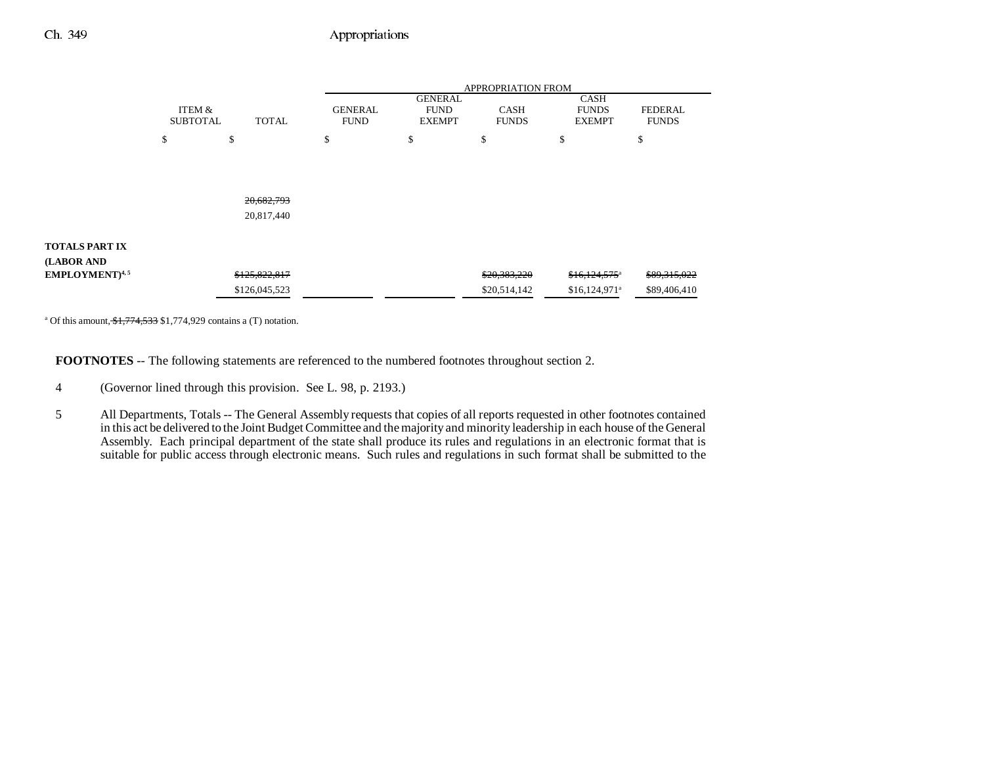|                                     |                           |               | APPROPRIATION FROM            |                                                |                             |                                              |              |                                |  |
|-------------------------------------|---------------------------|---------------|-------------------------------|------------------------------------------------|-----------------------------|----------------------------------------------|--------------|--------------------------------|--|
|                                     | ITEM &<br><b>SUBTOTAL</b> | <b>TOTAL</b>  | <b>GENERAL</b><br><b>FUND</b> | <b>GENERAL</b><br><b>FUND</b><br><b>EXEMPT</b> | <b>CASH</b><br><b>FUNDS</b> | <b>CASH</b><br><b>FUNDS</b><br><b>EXEMPT</b> |              | <b>FEDERAL</b><br><b>FUNDS</b> |  |
|                                     | \$                        | \$            | \$                            | \$                                             | \$                          | \$                                           | \$           |                                |  |
|                                     |                           |               |                               |                                                |                             |                                              |              |                                |  |
|                                     |                           |               |                               |                                                |                             |                                              |              |                                |  |
|                                     |                           | 20,682,793    |                               |                                                |                             |                                              |              |                                |  |
|                                     |                           | 20,817,440    |                               |                                                |                             |                                              |              |                                |  |
| <b>TOTALS PART IX</b>               |                           |               |                               |                                                |                             |                                              |              |                                |  |
| (LABOR AND                          |                           |               |                               |                                                |                             |                                              |              |                                |  |
| <b>EMPLOYMENT</b> ) <sup>4, 5</sup> |                           | \$125,822,817 |                               |                                                | \$20,383,220                | $$16,124,575$ <sup>a</sup>                   | \$89,315,022 |                                |  |
|                                     |                           | \$126,045,523 |                               |                                                | \$20,514,142                | $$16,124,971$ <sup>a</sup>                   | \$89,406,410 |                                |  |
|                                     |                           |               |                               |                                                |                             |                                              |              |                                |  |

<sup>a</sup> Of this amount,  $\frac{$1,774,533}{$1,774,929}$  contains a (T) notation.

**FOOTNOTES** -- The following statements are referenced to the numbered footnotes throughout section 2.

- 4 (Governor lined through this provision. See L. 98, p. 2193.)
- 5 All Departments, Totals -- The General Assembly requests that copies of all reports requested in other footnotes contained in this act be delivered to the Joint Budget Committee and the majority and minority leadership in each house of the General Assembly. Each principal department of the state shall produce its rules and regulations in an electronic format that is suitable for public access through electronic means. Such rules and regulations in such format shall be submitted to the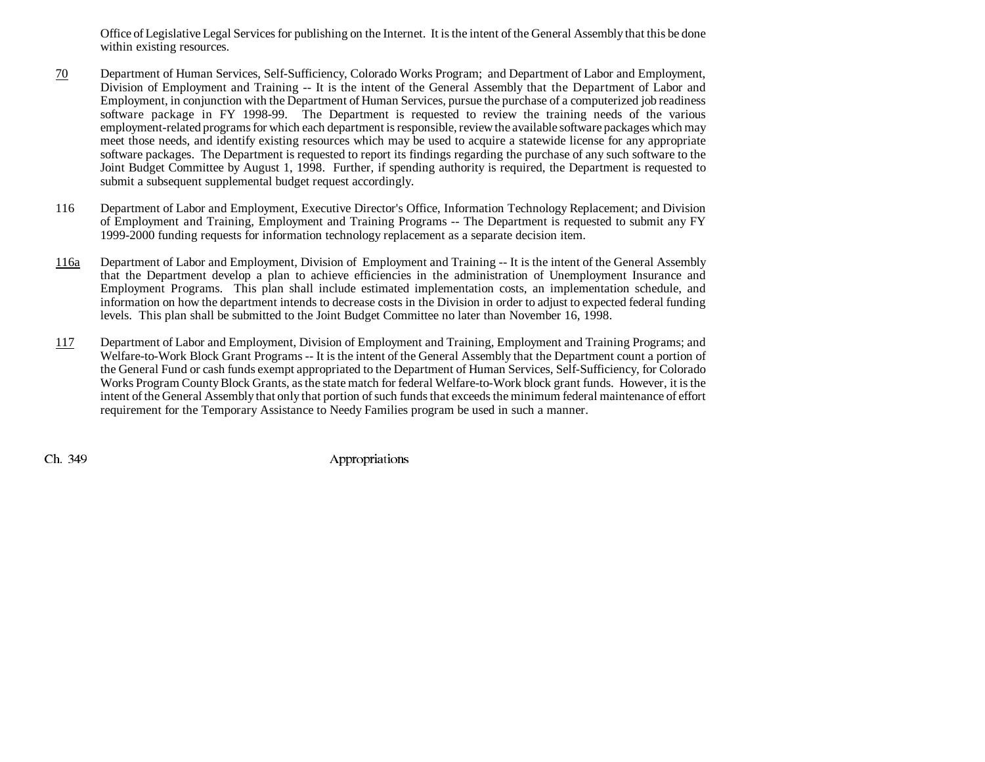Office of Legislative Legal Services for publishing on the Internet. It is the intent of the General Assembly that this be done within existing resources.

- 70 Department of Human Services, Self-Sufficiency, Colorado Works Program; and Department of Labor and Employment, Division of Employment and Training -- It is the intent of the General Assembly that the Department of Labor and Employment, in conjunction with the Department of Human Services, pursue the purchase of a computerized job readiness software package in FY 1998-99. The Department is requested to review the training needs of the various employment-related programs for which each department is responsible, review the available software packages which may meet those needs, and identify existing resources which may be used to acquire a statewide license for any appropriate software packages. The Department is requested to report its findings regarding the purchase of any such software to the Joint Budget Committee by August 1, 1998. Further, if spending authority is required, the Department is requested to submit a subsequent supplemental budget request accordingly.
- 116 Department of Labor and Employment, Executive Director's Office, Information Technology Replacement; and Division of Employment and Training, Employment and Training Programs -- The Department is requested to submit any FY 1999-2000 funding requests for information technology replacement as a separate decision item.
- 116a Department of Labor and Employment, Division of Employment and Training -- It is the intent of the General Assembly that the Department develop a plan to achieve efficiencies in the administration of Unemployment Insurance and Employment Programs. This plan shall include estimated implementation costs, an implementation schedule, and information on how the department intends to decrease costs in the Division in order to adjust to expected federal funding levels. This plan shall be submitted to the Joint Budget Committee no later than November 16, 1998.
- 117 Department of Labor and Employment, Division of Employment and Training, Employment and Training Programs; and Welfare-to-Work Block Grant Programs -- It is the intent of the General Assembly that the Department count a portion of the General Fund or cash funds exempt appropriated to the Department of Human Services, Self-Sufficiency, for Colorado Works Program County Block Grants, as the state match for federal Welfare-to-Work block grant funds. However, it is the intent of the General Assembly that only that portion of such funds that exceeds the minimum federal maintenance of effort requirement for the Temporary Assistance to Needy Families program be used in such a manner.